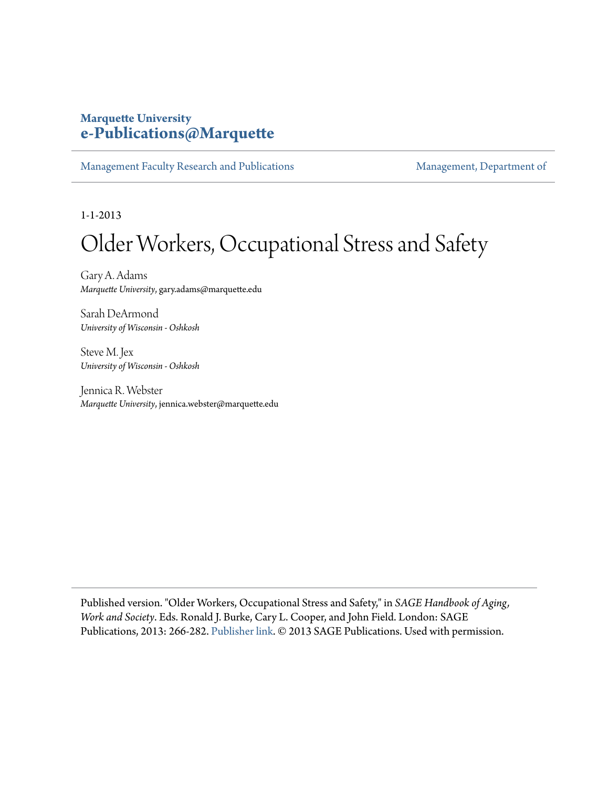## **Marquette University [e-Publications@Marquette](https://epublications.marquette.edu)**

[Management Faculty Research and Publications](https://epublications.marquette.edu/mgmt_fac) [Management, Department of](https://epublications.marquette.edu/mgmt)

1-1-2013

## Older Workers, Occupational Stress and Safety

Gary A. Adams *Marquette University*, gary.adams@marquette.edu

Sarah DeArmond *University of Wisconsin - Oshkosh*

Steve M. Jex *University of Wisconsin - Oshkosh*

Jennica R. Webster *Marquette University*, jennica.webster@marquette.edu

Published version. "Older Workers, Occupational Stress and Safety," in *SAGE Handbook of Aging, Work and Society*. Eds. Ronald J. Burke, Cary L. Cooper, and John Field. London: SAGE Publications, 2013: 266-282. [Publisher link.](https://us.sagepub.com/en-us/nam/the-sage-handbook-of-aging-work-and-society/book237162#9781446207826) © 2013 SAGE Publications. Used with permission.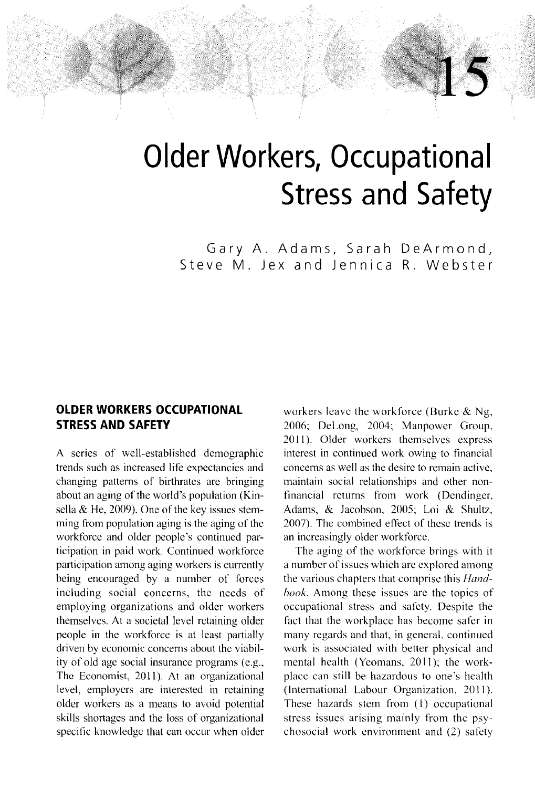# **Older Workers, Occupational Stress and Safety**

Gary A. Adams, Sarah DeArmond, Steve M. Jex and Jennica R. Webster

## **OLDER WORKERS OCCUPATIONAL STRESS AND SAFETY**

A scries of well-establishcd demographic trends such as increased life expectancies and changing pattems of birthratcs arc bringing about an aging of the world's population (Kinsella  $&$  He, 2009). One of the key issues stemming from population aging is the aging of the workforcc and older people's continued participation in paid work. Continued workforce participation among aging workers is currently being encouraged by a number of forccs including social concerns, thc needs of employing organizations and older workers themselves. At a societal level retaining older people in the workforce is at least partially driven by economic concerns about the viability of old age social insurance programs (e.g., The Economist, 2011). At an organizational level, employcrs are interested in rctaining older workers as a means to avoid potential skills shortages and the loss of organizational specific knowledge that can occur when older

workers leave the workforce (Burke & Ng, 2006; Delong, 2004; Manpowcr Group, 2011). Older workers themselves express intcrest in continued work owing to financial concerns as well as the desirc to remain active, maintain social relationships and other nonfinancial rcturns from work (Dendinger, Adams, & Jacobson, 2005; loi & Shultz, 2007). The combined effect of these trends is an increasingly older workforce.

 $\overline{\phantom{a}}$ , "I

The aging of thc workforce brings with it a number of issues which are explored among the various chapters that comprisc this *Hundhook*. Among these issues are the topics of occupational stress and safcty. Despite the fact that the workplacc has become safer in many regards and that, in general, continued work is associated with better physical and mental health (Yeomans, 2011); the workplace can still be hazardous to one's hcalth (International Labour Organization, 2011). These hazards stem from (I) occupational stress issues arising mainly from thc psychosocial work environment and (2) safcty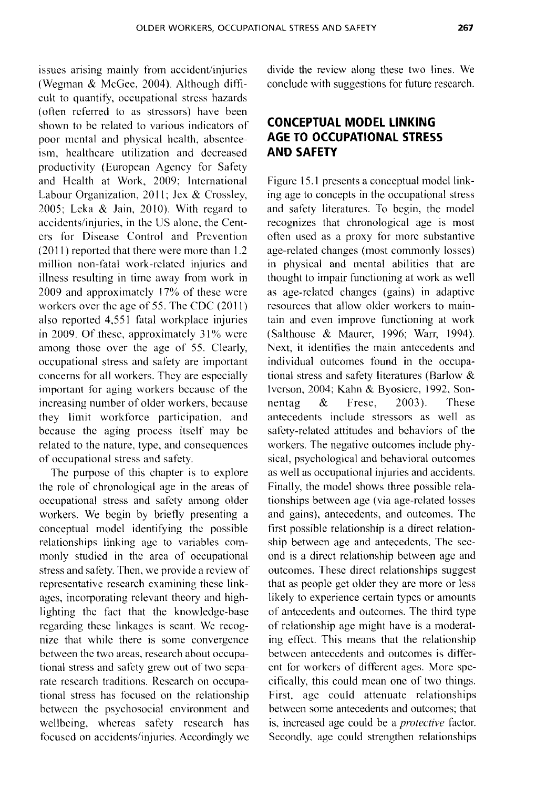issues arising mainly from accident/injuries (Wegman & McGee, 2004). Although difficult to quantify, occupational stress hazards (often referred to as stressors) have been shown to be related to various indieators of poor mental and physical health, absenteeism, healthcare utilization and decreased productivity (European Agency for Safety and Health at Work, 2009; International Labour Organization, 2011; Jex & Crossley, 2005; Leka & Jain, 2010). With regard to accidcnts/injurics, in the US alonc, the Centers for Disease Control and Prevention (20 II) reported that there were more than 1.2 million non-fatal work-related injurics and illness resulting in time away from work in 2009 and approximately 17% of these were workers over thc age of 55. The CDC (2011) also reported 4,551 fatal workplace injuries in 2009. Of these, approximately 31% were among those over the age of 55. Clearly, occupational stress and safety are important concerns for all workers. They are especially important for aging workers because of the increasing number of older workers, because they limit workforce participation, and because the aging process itself may be related to the nature, type, and consequences of occupational stress and safety.

The purpose of this chapter is to explore the role of chronological age in the areas of occupational stress and safety among older workers. We begin by briefly presenting a conceptual model identifying the possible relationships linking age to variables commonly studied in the area of occupational stress and safety. Then, we provide a review of representative research examining these linkages, incorporating relevant theory and highlighting the fact that the knowledge-base regarding these linkages is scant. We recognize that while there is some convergence between the two areas, research about occupational stress and safety grew out of two separate research traditions. Research on occupational stress has focused on the relationship between the psychosocial environment and wellbeing, whereas safety research has focused on accidents/injuries. Accordingly we divide the review along these two lines. We conclude with suggestions for future research.

## **CONCEPTUAL MODEL LINKING AGE TO OCCUPATIONAL STRESS AND SAFETY**

Figure 15.1 presents a conceptual model linking age to concepts in the occupational stress and safety literatures. To begin, the model recognizes that chronological age is most often used as a proxy for morc substantive age-related changes (most commonly losses) in physical and mental abilities that are thought to impair functioning at work as well as age-related changes (gains) in adaptive resources that allow older workers to maintain and even improve functioning at work (Salthouse & Maurer, 1996; Warr, 1994). Next, it identifies the main antecedents and individual outcomes found in the occupational stress and safety literatures (Barlow & Iverson, 2004; Kahn & Byosiere, 1992, Sonnentag & Frese, 2003). These antecedents include stressors as well as safety-related attitudes and behaviors of the workers. The negative outcomes include physieal, psychological and behavioral outeomes as well as occupational injuries and accidents. Finally, the model shows three possible relationships between age (via age-related losses and gains), antecedents, and outcomes. The first possible relationship is a direct relationship between age and antecedents. The second is a direct relationship between age and outcomes. These direct relationships suggest that as people get older they are more or less likely to experience certain types or amounts of antecedents and outcomes. The third type of relationship age might have is a moderating effect. This means that the relationship between antecedents and outcomes is different for workers of different ages. More specifically, this could mean one of two things. First, age could attenuate relationships between some antecedents and outcomes; that is, increased age could be a *protective* factor. Secondly, age could strengthen relationships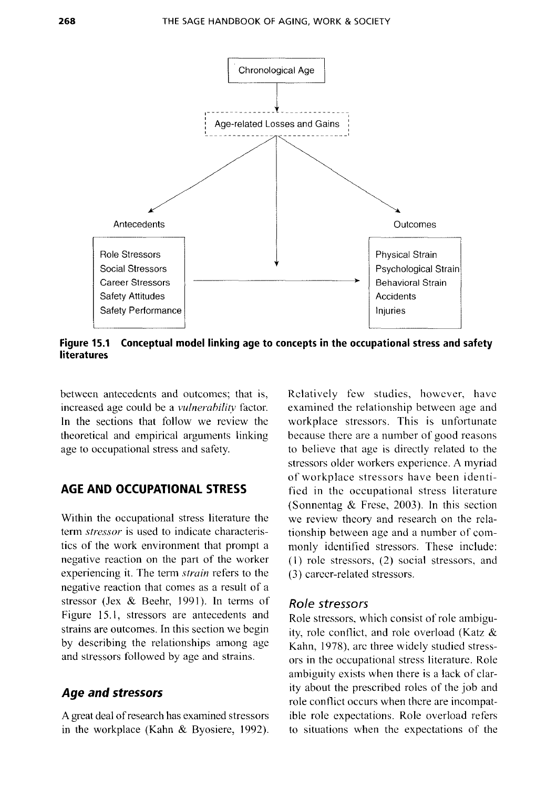

**Figure 15.1 Conceptual** model linking **age to concepts in the occupational stress and safety literatures** 

between antecedents and outcomes; that is, increased age could be a *vulnerability* factor. In the sections that follow we review the theoretical and empirical arguments linking age to occupational stress and safety.

## **AGE AND OCCUPATIONAL STRESS**

Within the occupational stress literature the term *stressor* is used to indicate characteristics of the work environment that prompt a negative reaction on the part of the worker experiencing it. The term *strain* refers to the negative reaction that comes as a result of a stressor *(lex* & Beehr, 1991). In terms of Figure 15.1, stressors are antecedents and strains are outcomes. In this section we begin by describing the relationships among age and stressors followed by age and strains.

## *Age and stressors*

A great deal of research has examined stressors in the workplace (Kahn & Byosiere, 1992). Relatively few studies, however, have examined the relationship between age and workplace stressors. This is unfortunate because there are a number of good reasons to believe that age is directly related to the stressors older workers experience. A myriad of workplace stressors have been identified in the occupational stress literature (Sonnentag & Frese, 2003). In this section we review theory and research on the relationship between age and a number of commonly identified stressors. These include: (I) role stressors, (2) social stressors, and (3) career-related stressors.

#### *Role stressors*

Role stressors, which consist of role ambiguity, role conflict, and role overload (Katz & Kahn, 1978), are three widely studied stressors in the occupational stress literature. Role ambiguity exists when there is a lack of clarity about the prescribed roles of the job and role contlict occurs when there are incompatible role expectations. Role overload refers to situations when the expectations of the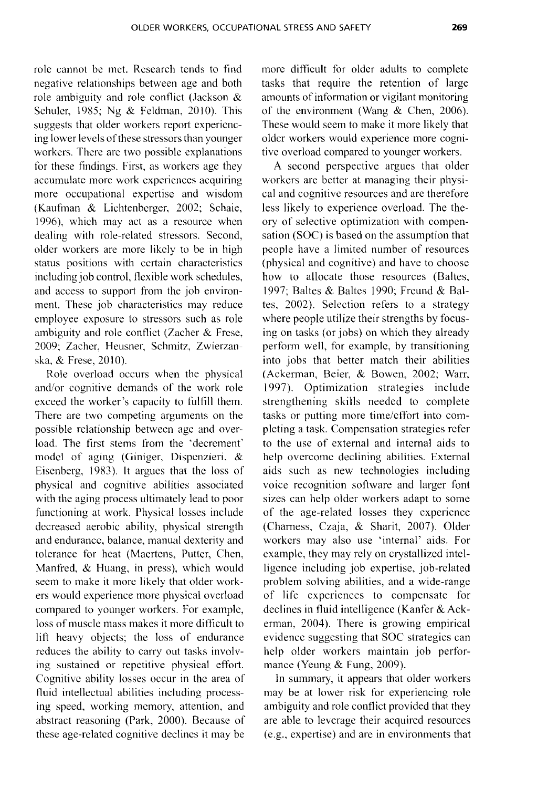role cannot be met. Research tends to find negative relationships between age and both role ambiguity and role contlict (Jackson & Schuler, 1985; Ng  $&$  Feldman, 2010). This suggests that older workers report experiencing lower levels ofthese stressors than younger workers. There are two possible explanations for these findings. First, as workers age they accumulate more work experiences acquiring more occupational expertise and wisdom (Kaufman & Lichtenberger, 2002; Schaie, 1996), which may act as a resource when dealing with role-related stressors. Second, older workers are more likely to be in high status positions with ccrtain characteristics including job control, flexible work schedules, and access to support from the job environment. These job characteristics may reduce employee exposure to stressors such as role ambiguity and rolc contlict (Zacher & Frese, 2009; Zacher, Heusner, Schmitz, Zwierzanska, & Frese, 2010).

Role overload occurs when the physical and/or cognitive demands of the work role exceed the worker's capacity to fulfill them. There are two competing arguments on the possible relationship between age and overload. The first stems from the 'decrement' model of aging (Giniger, Dispenzieri, & Eisenberg, 1983). It argues that the loss of physical and cognitive abilities associated with the aging process ultimately lead to poor functioning at work. Physical losses include decreased aerobic ability, physical strength and endurance, balance, manual dexterity and tolerance for heat (Maertens, Putter, Chen, Manfred, & Huang, in press), which would seem to make it more likely that older workers would experience more physical overload compared to younger workers. For example, loss of muscle mass makes it more difficult to lift heavy objects; the loss of endurance reduces the ability to carry out tasks involving sustained or repetitive physical effort. Cognitive ability losses occur in the area of fluid intellectual abilities including processing speed, working memory, attention, and abstract reasoning (Park, 2000). Because of these age-relatcd cognitive declines it may be more difficult for older adults to complete tasks that require the retention of large amounts of information or vigilant monitoring of the environment (Wang & Chen, 2006). These would seem to make it more likely that older workers would experience more cognitive overload compared to younger workers.

A second perspective argues that older workers are better at managing their physical and cognitive resources and are therefore less likely to experience overload. The theory of selective optimization with compensation (SOC) is based on the assumption that people have a limited number of resources (physical and cognitive) and have to choose how to allocate those resources (Baltes, 1997; Baltes & Baltes 1990; Freund & Baltes, 2002). Selection refers to a strategy where people utilize their strengths by focusing on tasks (or jobs) on which they already perform well, for example, by transitioning into jobs that better match their abilities (Ackerman, Beier, & Bowen, 2002; Warr, 1997). Optimization strategies include strengthening skills needed to complete tasks or putting more time/effort into completing a task. Compensation strategies refer to the use of external and internal aids to help overcome declining abilities. External aids such as new technologies including voice recognition software and larger font sizes can help older workers adapt to some of the age-related losses they experience (Chamess, Czaja, & Sharit, 2007). Older workcrs may also use 'internal' aids. For example, they may rely on crystallized intelligence including job expertise, job-related problem solving abilities, and a wide-range of life experiences to compensate for declines in tluid intelligence (Kanter & Ackerman, 2004). There is growing empirical evidence suggesting that SOC strategies can help older workers maintain job performance (Yeung & Fung, 2009).

In summary, it appears that older workers may be at lower risk for experiencing role ambiguity and role conflict provided that they are able to leverage their acquired resources (e.g., expertise) and are in environments that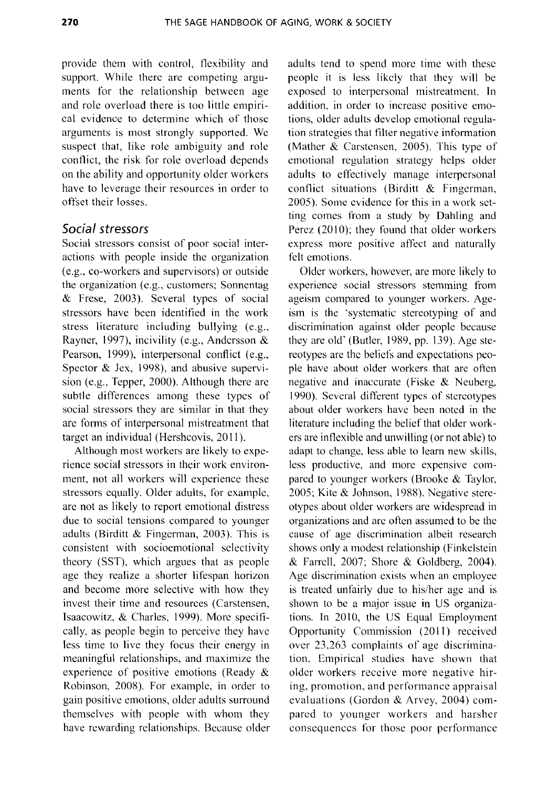provide them with control, flexibility and support. While there are competing arguments for the relationship between age and role overload there is too little empirical evidence to determine which of those arguments is most strongly supported. Wc suspect that, like role ambiguity and role conflict, the risk for role overload depends on the ability and opportunity older workers have to leverage their resources in order to offset their losses.

## **Social stressors**

Social stressors consist of poor social interactions with people inside the organization (e.g., co-workers and supervisors) or outside the organization (e.g., customers; Sonnentag & Frese, 2003). Several types of social stressors have been identified in the work stress literature including bullying (e.g., Rayner, 1997), incivility (e.g., Andersson & Pearson, 1999), interpersonal conflict (e.g., Spector & Jex, 1998), and abusive supervision (e.g., Tepper, 2000). Although there are subtle differences among these types of social stressors they are similar in that they are forms of interpersonal mistreatment that target an individual (Hershcovis, 2011).

Although most workers are likely to experience social stressors in their work environment, not all workers will experience these stressors equally. Older adults, for example, are not as likely to report emotional distress due to social tensions compared to younger adults (Birditt & Fingerman, 2003). This is consistent with socioemotional selectivity theory (SST), which argues that as people age they realize a shorter lifespan horizon and become more selective with how they invest their time and resources (Carstensen, Isaacowitz, & Charles, 1999). More specifically, as people begin to perceive they have less time to live they focus their energy in meaningful relationships, and maximize the experience of positive emotions (Ready & Robinson, 2008). For example, in order to gain positive emotions, older adults surround themselves with people with whom they have rewarding relationships. Because older adults tend to spend more time with these people it is less likcly that they will be exposed to interpersonal mistreatment. In addition, in order to increase positive emotions, older adults develop emotional regulation strategies that filter negative information (Mather  $\&$  Carstensen, 2005). This type of emotional regulation strategy helps older adults to effectively manage interpersonal conflict situations (Birditt & Fingerman, 2005). Some evidenee for this in a work setting comes from a study by Dahling and Perez  $(2010)$ ; they found that older workers express more positive affect and naturally felt emotions.

Older workers, however, are more likely to experience social stressors stemming from ageism compared to younger workers. Ageism is the 'systematic stereotyping of and discrimination against older people because they are old' (Butler, 1989, pp. 139). Age stereotypes are the beliefs and expectations people have about older workers that are often negative and inaccurate (Fiske & Neuberg, 1990). Several different types of stereotypes about older workers have been noted in the literature including the belief that older workers are inflexible and unwilling (or not able) to adapt to change, less able to learn new skills, less productive, and more expensive compared to younger workers (Brooke & Taylor, 2005; Kite & Johnson, 1988). Negative stereotypes about older workers are widespread in organizations and are often assumed to be the cause of age discrimination albeit research shows only a modest relationship (Finkelstein & Farrell, 2007; Shore & Goldberg, 2004). Age discrimination exists when an employee is treated unfairly due to his/her age and is shown to be a major issue in US organizations. In 2010, the US Equal Employment Opportunity Commission (2011) received over 23,263 complaints of age discrimination. Empirical studies have shown that older workers receive more negative hiring, promotion, and performance appraisal evaluations (Gordon & Arvey, 2004) compared to younger workers and harsher consequences for those poor performance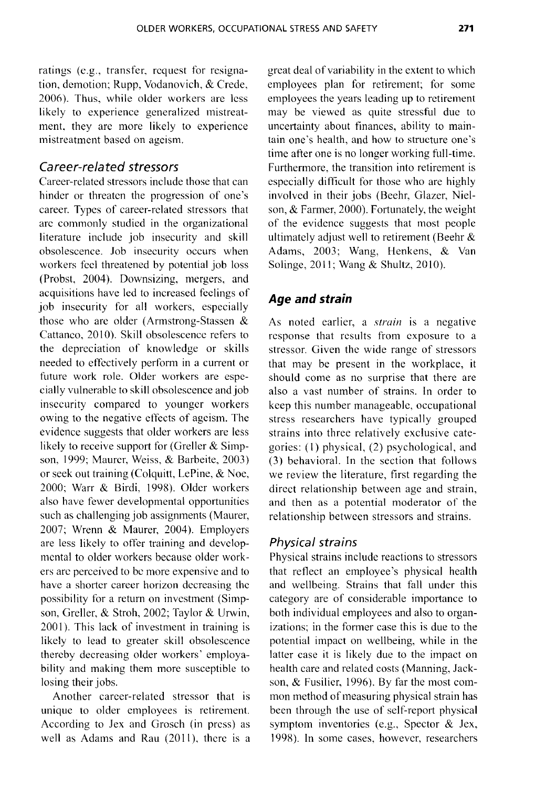ratings (e.g., transfer. request for resignation. demotion; Rupp, Vodanovich. & Crede. 2006). Thus, while older workers are less likely to experience generalized mistreatment, they are more likely to experience mistreatment based on ageism.

#### Career-related stressors

Career-related stressors include those that can hinder or threaten the progression of one's career. Types of career-related stressors that are commonly studied in the organizational literature include job insecurity and skill obsolescence. Job insecurity occurs when workers fcel threatened by potential job loss (Probst. 2004). Downsizing, mergers, and acquisitions have led to increased feclings of job insecurity for all workers, especially those who are older (Armstrong-Stassen & Cattaneo, 2010). Skill obsolescence refers to the depreciation of knowledge or skills needed to effectively perform in a current or future work role. Older workers are especially vulnerable to skill obsolescence and job insecurity compared to younger workers owing to the negative effects of ageism. The evidence suggests that older workers are less likely to receive support for (Greller & Simpson, 1999; Maurer, Weiss, & Barbeite. 2003) or seek out training (Colquitt, LePine, & Noe, 2000; Warr & Birdi, 1998). Older workers also have fewer developmental opportunitics such as challenging job assignments (Maurer, 2007; Wrenn & Maurer, 2004). Employers are less likely to offer training and devclopmcntal to older workers because older workers are perceived to be more expensive and to have a shorter career horizon decreasing the possibility for a return on investment (Simpson, Greller, & Stroh, 2002; Taylor & Urwin, 2001). This lack of investment in training is likely to lead to greater skill obsolescence thereby decreasing older workers' employability and making them more susceptible to losing their jobs.

Another career-related stressor that is unique to older employees is retirement. According to Jex and Grosch (in press) as well as Adams and Rau  $(2011)$ , there is a great deal of variability in the extent to which employees plan for retirement; for some employees the years leading up to retirement may be viewed as quite stressful due to uncertainty about finances, ability to maintain one's health, and how to structure one's time after one is no longer working full-time. Furthermore, the transition into retirement is especially difficult for those who are highly involved in their jobs (Beehr, Glazer, Nielson, & Farmer, 2000). Fortunately, the weight of the evidence suggests that most people ultimately adjust well to retirement (Beehr & Adams, 2003; Wang, Henkens, & Van Solinge, 2011; Wang & Shultz, 2010).

## *Age and strain*

As noted earlier, a *strain* is a negative response that results from exposure to a stressor. Given the wide range of stressors that may be present in the workplace, it should come as no surprise that there are also a vast number of strains. In order to keep this number manageable, occupational stress researchers have typically grouped strains into three relatively exclusive categories: (I) physical, (2) psychological, and (3) behavioral. In the section that follows we review the literature, first regarding the direct relationship between age and strain, and then as a potential moderator of the relationship between stressors and strains.

#### Physical strains

Physical strains include reactions to stressors that reflect an employee's physical health and wellbeing. Strains that fall under this category are of considerable importance to both individual employees and also to organizations; in the former case this is due to the potential impact on wellbeing, while in the latter case it is likely due to the impact on health care and related costs (Manning, Jackson, & Fusilier, 1996). By far the most common method of measuring physical strain has been through the use of self-report physical symptom inventories (e.g., Spector & Jex, 1998). In some cases, however, researchers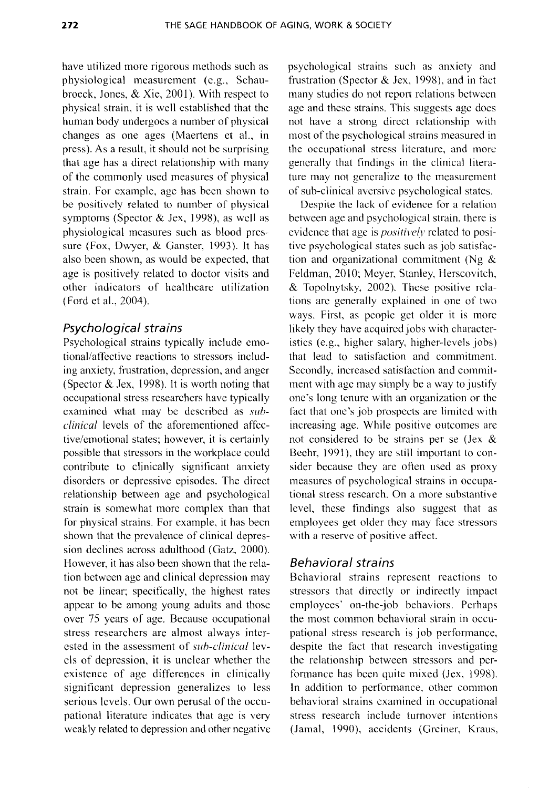have utilized more rigorous methods such as physiological measurement (e.g., Schaubroeck, Jones, & Xie, 2001). With respect to physical strain, it is well established that the human body undergoes a number of physical changes as one ages (Maertens et aI., in press). As a result, it should not be surprising that age has a direct relationship with many of the commonly used measures of physical strain. For example, age has been shown to be positively related to number of physical symptoms (Spector & Jex, 1998), as well as physiological measures such as blood pressure (Fox, Dwyer, & Ganster, 1993). It has also bcen shown, as would be expected, that age is positively related to doctor visits and other indicators of healthcare utilization (Ford et aI., 2004).

#### Psychological strains

Psychological strains typically include emotional/affective reactions to stressors including anxiety, frustration, depression, and anger (Spector  $\&$  Jex, 1998). It is worth noting that occupational stress researchers have typically examined what may be described as *subclinical* levels of the aforementioned affective/emotional states; however, it is certainly possible that stressors in the workplace could contribute to clinically significant anxiety disorders or depressive episodes. The direct relationship between age and psychological strain is somewhat more complex than that for physical strains. For example, it has been shown that the prevalence of clinical depression declines across adulthood (Gatz, 2000). However, it has also been shown that the relation between age and clinical depression may not be linear; specifically, the highest rates appear to be among young adults and those over 75 years of age. Because occupational stress researchers are almost always interested in the assessment of *suh-clinical* levcls of depression, it is unclear whether the existence of age differences in clinically significant depression generalizes to less serious levels. Our own perusal of the occupational literature indicates that age is very weakly related to depression and other negative

psychological strains such as anxiety and frustration (Spector & Jex, 1998), and in fact many studies do not report relations bctween age and these strains. This suggests age does not have a strong direct rclationship with most of the psychological strains measured in the occupational stress literature, and more generally that findings in the clinical literature may not generalize to the measurement of sub-clinical aversive psychological states.

Despite the lack of evidence for a rclation between age and psychological strain, there is evidence that age is *positivelv* related to positive psychological states such as job satisfaction and organizational commitment (Ng  $&$ Feldman, 2010; Meyer, Stanley, Herscovitch, & Topolnytsky, 2002). These positive rclations arc generally cxplained in one of two ways. First, as people get older it is more likely they have acquired jobs with characteristics (e.g., higher salary, higher-levels jobs) that lead to satisfaction and commitment. Secondly, increased satisfaction and commitment with age may simply be a way to justify one's long tenure with an organization or thc fact that one's job prospects are limited with increasing age. While positive outcomes are not considered to be strains per se (Jex & Beehr, 1991), they are still important to consider because they arc often used as proxy measures of psychological strains in occupational stress research. On a more substantive level, these findings also suggest that as employees get older they may face stressors with a reserve of positive affect.

## Behavioral strains

Behavioral strains represent reactions to stressors that directly or indirectly impact employees' on-the-job behaviors. Perhaps the most common behavioral strain in occupational stress research is job performance, despite the fact that research investigating the relationship between stressors and performance has been quite mixed (Jex, 1998). In addition to performance, other common behavioral strains examined in occupational stress research include turnover intentions (Jamal, 1990), accidents (Greiner, Kraus,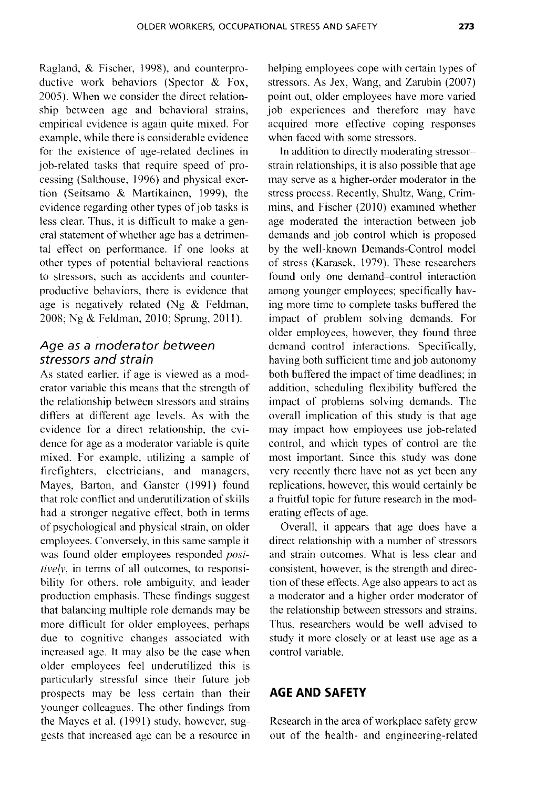Ragland, & Fischer, 1998), and counterproductivc work behaviors (Spector & Fox, 2005). When we consider the direct relationship between age and behavioral strains, empirical evidence is again quite mixed. For example, while there is considerable evidence for the existence of age-related declines in job-related tasks that require speed of processing (Salthouse, 1996) and physical exertion (Seitsamo & Martikainen, 1999), the evidence regarding other types of job tasks is less clear. Thus, it is difficult to make a general statement of whether age has a detrimental effect on perfonnance. If one looks at other types of potential behavioral reactions to stressors, such as accidents and counterproductive behaviors, there is evidence that age is ncgatively related (Ng & Feldman, 2008; Ng & Feldman, 2010; Sprung, 2011).

## *Age as* a *moderator between stressors and strain*

As stated earlier, if age is viewed as a moderator variable this means that thc strength of the relationship between stressors and strains differs at different age levels. As with the evidence for a direct relationship, the evidence for age as a moderator variable is quite mixed. For examplc, utilizing a sample of firefighters, electricians, and managers, Mayes, Barton, and Ganster (1991) found that role conflict and underutilization of skills had a stronger negative effect, both in terms of psychological and physical strain, on older employees. Conversely, in this same sample it was found older employees responded *positively*, in terms of all outcomes, to responsibility for others, role ambiguity, and leader production emphasis. These findings suggest that balancing multiple role demands may be more difficult for older employees, perhaps due to cognitive changes associated with increased age. It may also be the case when older employees feel underutilized this is particularly stressful since their future job prospects may be less certain than their younger colleagues. The other findings from the Mayes et al. (1991) study, however, suggests that increased age can be a resource in

helping employees cope with certain types of stressors. As *lex,* Wang, and Zarubin (2007) point out, older employees have more varied job experiences and therefore may have acquired more effective coping responses when faced with some stressors.

In addition to directly moderating stressorstrain relationships, it is also possible that age may serve as a higher-order moderator in the stress process. Recently, Shultz, Wang, Crimmins, and Fischer (2010) examined whether age moderated the interaction between job demands and job control which is proposed by the well-known Demands-Control model of stress (Karasek, 1979). These researchers found only one demand-control interaction among younger employees; specifically having more time to complete tasks buffered the impact of problem solving demands. For older employees, however, they found three demand-control interactions. Specifically, having both sufficient time and job autonomy both buffered the impact of time deadlines; in addition, scheduling flexibility buffered the impact of problems solving demands. The overall implication of this study is that age may impact how employees use job-related control, and which types of control are the most important. Since this study was done very recently there have not as yet been any replications, however, this would certainly be a fruitful topic for future research in the moderating effects of age.

Overall, it appears that age does have a direct relationship with a number of stressors and strain outcomes. What is less clear and consistent, however, is the strength and direction of these effects. Age also appears to act as a moderator and a higher order moderator of the relationship between stressors and strains. Thus, researchers would be well advised to study it more closely or at least use age as a control variable.

## **AGE AND SAFETY**

Research in the area of workplace safety grew out of the health- and engineering-related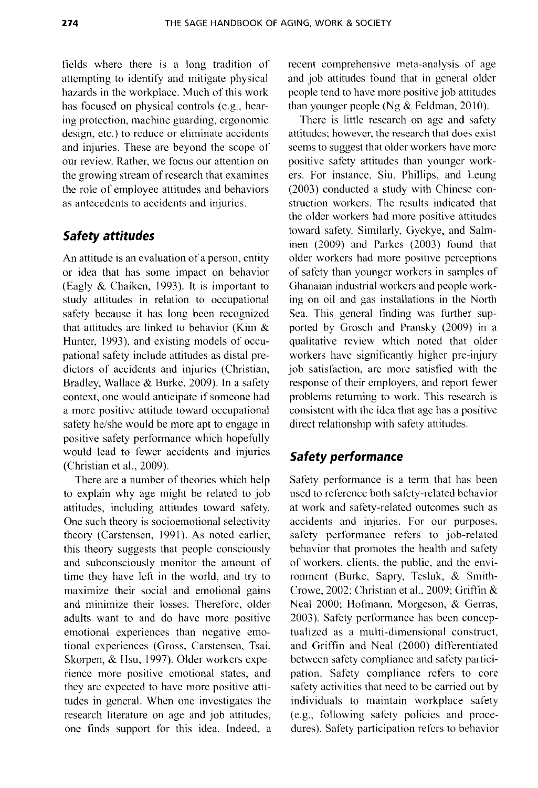fields where there is a long tradition of attempting to identify and mitigate physical hazards in the workplace. Much of this work has focused on physical controls (e.g., hearing protection, machine guarding, ergonomic design, etc.) to reduce or eliminate accidents and injuries. These are beyond the scope of our review. Rather, we focus our attention on the growing stream of research that examines the role of employee attitudes and behaviors as antecedents to accidents and injuries.

## **Safety attitudes**

An attitude is an evaluation of a person, entity or idea that has some impact on behavior (Eagly & Chaiken, 1993). It is important to study attitudes in relation to occupational safety because it has long been recognized that attitudes are linked to behavior (Kim  $\&$ Hunter, 1993), and existing models of occupational safety include attitudes as distal predictors of accidents and injuries (Christian, Bradley, Wallace & Burke, 2009). In a safety context, one would anticipate if someone had a more positive attitude toward occupational safety he/she would be more apt to engage in positive safety performance which hopefully would lead to fewer accidents and injuries (Christian et aI., 2009).

There are a number of theories which help to explain why age might be related to job attitudes, including attitudes toward safety. One such theory is socioemotional selectivity theory (Carstensen, 1991). As noted earlier, this theory suggests that people consciously and subconsciously monitor the amount of time they have left in the world, and try to maximize their social and emotional gains and minimize their losses. Therefore, older adults want to and do have more positive emotional experiences than negative emotional experiences (Gross, Carstensen, Tsai, Skorpen, & Hsu, 1997). Older workers experience more positive emotional states, and they are expected to have more positive attitudes in general. When one investigates the research literature on age and job attitudes, one finds support for this idea. Indeed, a recent comprehensive meta-analysis of age and job attitudes found that in general older people tend to have more positive job attitudes than younger people (Ng  $&$  Feldman, 2010).

There is little research on age and safety attitudes; however, the research that does exist seems to suggest that older workers have more positive safety attitudes than younger workers. For instance, Siu, Phillips, and Leung (2003) conducted a study with Chinese construction workers. The results indicated that the older workers had more positive attitudes toward safety. Similarly, Gyekye, and Salminen (2009) and Parkes (2003) found that older workers had more positive perceptions of safety than younger workers in samples of Ghanaian industrial workers and people working on oil and gas installations in the North Sea. This general finding was further supported by Grosch and Pransky (2009) in a qualitative review which noted that older workers have significantly higher pre-injury job satisfaction, are more satisfied with the response of their employers, and report fewer problems returning to work. This research is consistent with the idea that age has a positive direct relationship with safety attitudes.

## **Safety performance**

Safety performance is a term that has been used to reference both safety-related behavior at work and safety-related outcomes such as accidents and injuries. For our purposes, safety performance refers to job-related behavior that promotes the health and safety of workers, clients, the public, and the environment (Burke, Sapry, Tesluk, & Smith-Crowe, 2002; Christian et aI., 2009; Griffin & Neal 2000; Hofmann, Morgeson, & Gerras, 2003). Safety performance has been conceptualized as a multi-dimensional construct, and Griffin and Neal (2000) differentiated between safety compliance and safety participation. Safety compliance refers to eore safety activities that need to be carried out by individuals to maintain workplace safety (e.g., following safety policies and procedures). Safety participation refers to behavior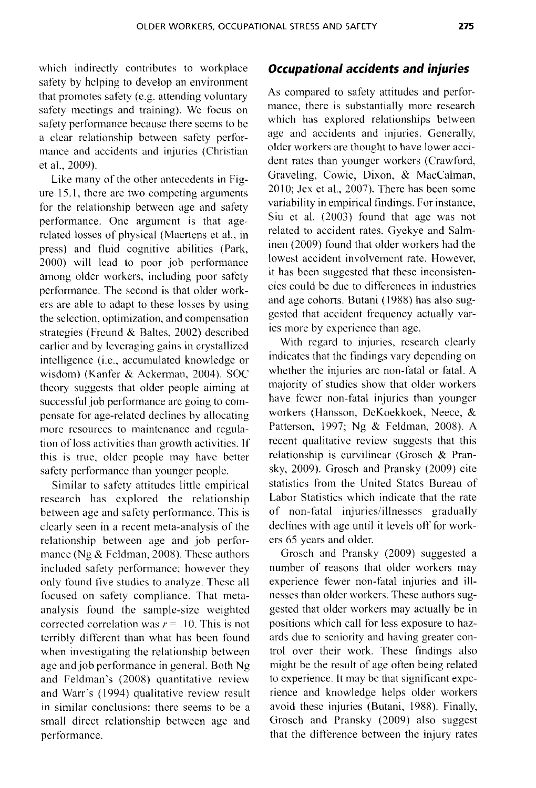which indirectly contributes to workplace safety by helping to develop an environment that promotes safety (e.g. attending voluntary safety meetings and training). We focus on safety performance because there seems to be a clear relationship between safety performance and accidents and injuries (Christian et aI., 2009).

Like many of the other antecedents in Figure 15.1, there are two competing arguments for the relationship between age and safety performance. One argument is that agerelated losses of physical (Maertens et aI., in press) and fluid cognitive abilities (Park, 2000) will lead to poor job performance among older workers, including poor safety performance. The second is that older workers are able to adapt to these losses by using the selection, optimization, and compensation strategies (Freund & Baltes, 2002) described earlier and by leveraging gains in crystallized intelligence (i.e., accumulated knowledge or wisdom) (Kanfer & Ackerman, 2004). SOC theory suggests that older people aiming at successful job performance are going to compensate for age-related declines by allocating more resources to maintenance and regulation of loss activities than growth activities. If this is true, older people may have better safety performance than younger people.

Similar to safety attitudes little empirical research has explored the relationship between age and safety performance. This is clearly seen in a recent meta-analysis of the relationship between age and job performance (Ng & Feldman, 2008). These authors included safety performance; however they only found five studies to analyze. These all focused on safety compliance. That metaanalysis found the sample-size weighted corrected correlation was  $r = .10$ . This is not terribly different than what has been found when investigating the relationship between age and job performance in general. Both Ng and Feldman's (2008) quantitative review and Warr's (1994) qualitative review result in similar conclusions: there seems to be a small direct relationship between age and performance.

#### *Occupational accidents and injuries*

As compared to safety attitudes and performance, there is substantially more research which has explored relationships between age and accidents and injuries. Generally, older workers are thought to have lower accident rates than younger workers (Crawford, Graveling, Cowie, Dixon, & MaeCalman,  $2010$ ; Jex et al.,  $2007$ ). There has been some variability in empirical findings. For instance, Siu et al. (2003) found that age was not related to accident rates. Gyekye and Salminen (2009) found that older workers had the lowest accident involvement rate. However, it has been suggested that these inconsistencies could be due to differences in industries and age cohorts. Butani (1988) has also suggested that accident frequency actually varies more by experience than age.

With regard to injuries, research clearly indicates that the findings vary depending on whether the injuries are non-fatal or fatal. A majority of studies show that older workers have fewer non-fatal injuries than younger workers (Hansson, DeKoekkoek, Neece, & Patterson, 1997; Ng & Feldman, 2008). A recent qualitative review suggests that this relationship is curvilinear (Grosch & Pransky, 2009). Grosch and Pransky (2009) cite statistics from the United States Bureau of Labor Statistics which indicate that the rate of non-fatal injuries/illnesses gradually declines with age until it levels off for workers 65 years and older.

Grosch and Pransky (2009) suggested a number of reasons that older workers may experience fewer non-fatal injuries and illnesses than older workers. These authors suggested that older workers may actually be in positions which call for less exposure to hazards due to seniority and having greater control over their work. These findings also might be the result of age often being related to experience. It may be that significant experience and knowledge helps older workers avoid these injuries (Butani, 1988). Finally, Grosch and Pransky (2009) also suggest that the ditference between the injury rates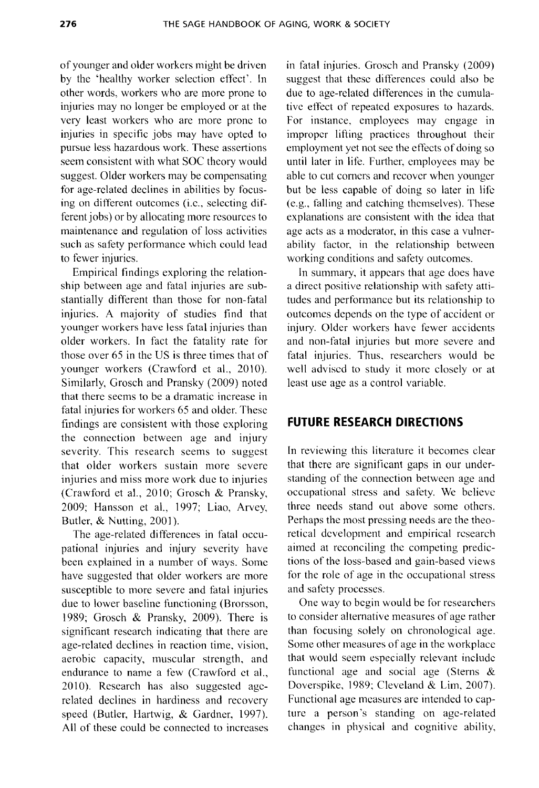of younger and older workers might be driven by the 'healthy worker selection effect'. In other words, workers who are more prone to injuries may no longer be employed or at the very least workers who are more pronc to injuries in specific jobs may have opted to pursue less hazardous work. These assertions seem consistent with what SOC theory would suggest. Older workers may be compensating for age-related declines in abilities by focusing on ditferent outcomes (i.e., selecting different jobs) or by allocating more resources to maintenance and regulation of loss activities such as safety performance which could lead to fewer injuries.

Empirical findings exploring the relationship between age and fatal injuries are substantially ditferent than those for non-fatal injuries. A majority of studies find that younger workers have less fatal injuries than older workers. In fact the fatality rate for those over 65 in the US is three times that of younger workers (Crawford et al., 2010). Similarly, Grosch and Pransky (2009) noted that there seems to be a dramatic increase in fatal injuries for workers 65 and older. These findings are consistent with those exploring the connection between age and injury severity. This research seems to suggest that older workers sustain more severe injuries and miss more work due to injuries (Crawford et aI., 2010; Grosch & Pransky, 2009; Hansson et aI., 1997; Liao, Arvey, Butler, & Nutting, 2001).

The age-related differences in fatal occupational injuries and injury severity have been explained in a number of ways. Some have suggested that older workers are more susceptible to more severe and fatal injuries due to lower baseline functioning (Brorsson, 1989; Grosch & Pransky, 2009). There is significant research indicating that there are age-related declines in reaction time, vision, aerobic capacity, muscular strength, and endurance to name a few (Crawford et ai., 2010). Research has also suggested agerelated deelines in hardiness and recovery speed (Butler, Hartwig, & Gardner, 1997). All of these could be connected to increases

in fatal injuries. Grosch and Pransky (2009) suggest that these differences could also be due to age-related differences in the cumulative effect of repeatcd exposures to hazards. For instance, employees may cngage in impropcr lifting practices throughout their employment yet not see the effects of doing so until later in life. Further, employees may be able to cut comers and recover when younger but be less capable of doing so later in life (e.g., falling and catching themselves). These explanations are consistent with the idea that age acts as a moderator, in this case a vulnerability factor, in the relationship between working conditions and safety outcomes.

In summary, it appears that age does have a direct positive relationship with safety attitudes and performance but its relationship to outcomes depends on the type of accident or injury. Older workers have fewer accidents and non-fatal injuries but more severe and fatal injuries. Thus, researchers would be well advised to study it more closely or at least use age as a control variable.

## **FUTURE RESEARCH DIRECTIONS**

In reviewing this literature it becomes clear that there are significant gaps in our understanding of the connection between age and occupational stress and safety. We believe three needs stand out above some others. Perhaps the most pressing needs are the theoretical dcvelopment and empirical research aimed at reconciling the competing predictions of the loss-based and gain-based views for the role of age in thc occupational stress and safety processes.

One way to begin would be for researchers to consider alternative measures of age rather than focusing solely on chronological age. Some other measures of age in the workplace that would seem especially relevant includc functional age and social age (Sterns & Doverspike, 1989; Cleveland & Lim, 2007). Functional age measures are intended to capture a person's standing on age-related changes in physical and cognitive ability,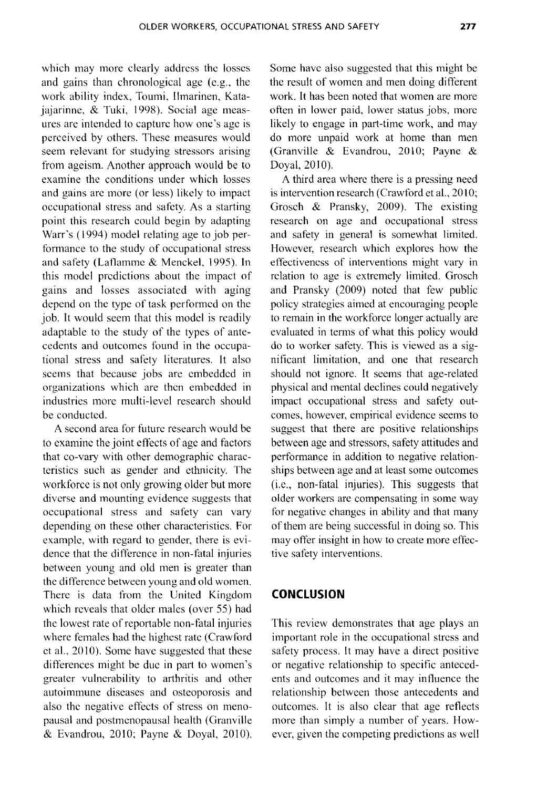which may more clearly address the losses and gains than chronological age (e.g., the work ability index, Toumi, Ilmarinen, Katajajarinne, & Tuki, 1998). Social age measures are intended to capture how one's age is perceived by others. These measures would seem relevant for studying stressors arising from ageism. Another approach would be to examine the conditions under which losses and gains are more (or less) likely to impact occupational stress and safety. As a starting point this research could begin by adapting Warr's (1994) model relating age to job performance to the study of occupational stress and safety (Laflamme & Menckel, 1995). **In**  this model predictions about the impact of gains and losses associated with aging depend on the type of task performed on the job. It would seem that this model is readily adaptable to the study of the types of antecedents and outcomes found in the occupational stress and safety literatures. It also seems that because jobs are embedded in organizations which are then embedded in industries more multi-level research should be conducted.

A second area for future research would be to examine the joint effects of age and factors that co-vary with other demographic characteristics such as gender and ethnicity. The workforce is not only growing older but more diverse and mounting evidence suggests that occupational stress and safety can vary depending on these other characteristics. For example, with regard to gender, there is evidence that the difference in non-fatal injuries between young and old men is greater than the difference between young and old women. There is data from the United Kingdom which reveals that older males (over 55) had the lowest rate of reportable non-fatal injuries where females had the highest rate (Crawford et al., 2010). Some have suggested that these differences might be due in part to women's greater vulnerability to arthritis and other autoimmune diseases and osteoporosis and also the negative effects of stress on menopausal and postmcnopausal health (Granville  $&$  Evandrou, 2010; Payne  $&$  Doyal, 2010). Some have also suggested that this might be the result of women and men doing different work. It has been noted that women are more often in lower paid, lower status jobs, more likely to engage in part-time work, and may do more unpaid work at home than men (Granville & Evandrou, 2010; Payne & Doyal, 2010).

A third area where there is a pressing need is intervention research (Crawford et al., 2010; Grosch & Pransky, 2009). The existing research on age and occupational stress and safety in general is somewhat limited. However, research which explores how the effectiveness of interventions might vary in relation to age is extremely limited. Grosch and Pransky (2009) noted that few public policy strategies aimed at encouraging people to remain in the workforce longer actually are evaluated in tenns of what this policy would do to worker safety. This is viewed as a significant limitation, and one that research should not ignore. It seems that age-related physical and mental declines could negatively impact occupational stress and safety outcomes, however, empirical evidence seems to suggest that there are positive relationships between age and stressors, safety attitudes and performance in addition to negative relationships between age and at least some outcomes (i.e., non-fatal injuries). This suggests that older workers arc compensating in some way for negative changes in ability and that many of them are being successful in doing so. This may offer insight in how to create more effective safety interventions.

## **CONCLUSION**

This review demonstrates that age plays an important role in the occupational stress and safety process. It may have a direct positive or negative relationship to specific antecedents and outcomes and it may influence the relationship between those antecedents and outcomes. It is also clear that age reflects more than simply a number of years. However, given the competing predictions as well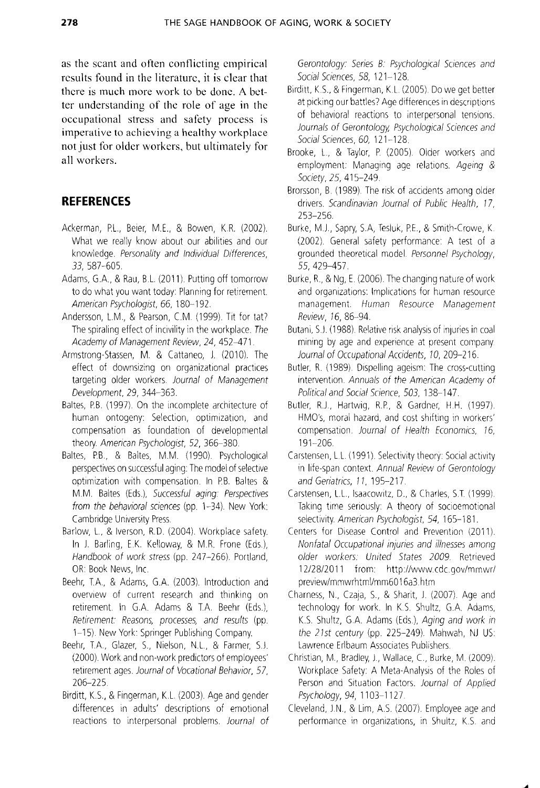**as the scant and often conflicting empirical results found in the literature, it is clear that there is much more work to be done. A better understanding of the role of age in the occupational stress and safety process is imperative to achieving a healthy workplace not just for older workers, but ultimately for all workers.** 

## **REFERENCES**

- Ackerman, P.L., Beier, M.E., & Bowen, K.R. (2002). What we really know about our abilities and our knowledge. Personality and Individual Differences, 33, 587-605.
- Adams, G.A., & Rau, B.L. (2011). Putting off tomorrow to do what you want today: Planning for retirement American Psychologist, 66, 180-192.
- Andersson, L.M., & Pearson, C.M. (1999). Tit for tat? The spiraling effect of incivility in the workplace. The Academy of Management Review, 24, 452-471
- Armstrong-Stassen, M. & Cattaneo, J. (2010). The effect of downsizing on organizational practices targeting older workers. Journal of Management Development, 29, 344-363.
- Baltes, P.B. (1997). On the incomplete architecture of human ontogeny: Selection, optimization, and compensation as foundation of developmental theory. American Psychologist, 52, 366-380.
- Baltes, P.B., & Baltes, M.M. (1990). Psychological perspectives on successful aging: The model of selective optimization with compensation. In RB. Baltes & M.M. Baltes (Eds), Successful aging. Perspectives from the behavioral sciences (pp. 1-34). New York: Cambridge University Press.
- Barlow, L., & Iverson, R.D. (2004). Workplace safety. In J. Barling, E.K. Kelloway, & M.R. Frone (Eds), Handbook of work stress (pp. 247-266). Portland, OR: Book News, Inc.
- Beehr, T.A., & Adams, G.A. (2003). Introduction and overview of current research and thinking on retirement. In G.A. Adams & T.A. Beehr (Eds.), Retirement: Reasons, processes, and results (pp. 1-15) New York: Springer Publishing Company.
- Beehr, T.A., Glazer, S., Nielson, N.L., & Farmer, S.J. (2000) Work and non-work predictors ot employees' retirement ages. Journal of Vocational Behavior, 57, 206-225.
- Birditt, K.S., & Fingerman, K.L. (2003). Age and gender differences in adults' descriptions of emotional reactions to interpersonal problems. Journal of

Gerontology. Series B. Psychological Sciences and Social Sciences, 58, 121-128.

- Birditt, K.S., & Fingerman, K.L. (2005). Do we get better at picking our battles? Age differences in descriptions of behavioral reactions to interpersonal tensions. Journals of Gerontology, Psychological Sciences and Social Sciences, 60, 121-128.
- Brooke, L., & Taylor, P. (2005). Older workers and employment: Managing age relations. Ageing  $\&$ Society, 25, 415-249.
- Brorsson, B. (1989). The risk of accidents among older drivers. Scandinavian Journal of Public Health, 17, 253-256.
- Burke, MJ, Sapry, S.A, Tesluk, PE., & Smith-Crowe, K (2002). General safety performance: A test of a grounded theoretical model. Personnel Psychology, 55,429-457.
- Burke, R, & Ng, E. (2006) The changing nature of work and organizations: Implications for human resource management. Human Resource Management Review, 16, 86-94.
- Butani, S.J. (1988). Relative risk analysis of injuries in coal mining by age and experience at present company Journal of Occupational Accidents, 10, 209-216.
- Butler, R. (1989). Dispelling ageism: The cross-cutting intervention. Annuals of the American Academy of Political and Social Science, 503, 138-147.
- Butler, R.J., Hartwig, R.P., & Gardner, H.H. (1997). HMO's, moral hazard, and cost shifting in workers' compensation. Journal of Health Economics, 16, 191-206.
- Carstensen, L.L. (1991). Selectivity theory: Social activity in life-span context. Annual Review of Gerontology and Geriatrics, 11, 195-217.
- Carstensen, L.L., Isaacowitz, D., & Charles, S.T. (1999). Taking time seriously: A theory of socioemotional selectivity. American Psychologist, 54, 165-181.
- Centers for Disease Control and Prevention (2011). Nonfatal Occupational injuries and illnesses among older workers. United States 2009. Retrieved 12/28/2011 from: http://www.cdc.gov/mmwr/ preview/mmwrhtmllmm6016a3.htm
- Charness, N., Czaja, S., & Sharit, J. (2007). Age and technology for work. In K.S. Shultz, G.A. Adams, K.S. Shultz, G.A. Adams (Eds.), Aging and work in the 21st century (pp. 225-249). Mahwah, NJ US: Lawrence Erlbaum Associates Publishers.
- Christian, M., Bradley, J., Wallace, C., Burke, M. (2009). Workplace Safety: A Meta-Analysis of the Roles of Person and Situation Factors. Journal of Applied Psychology, 94, 1103-1127.
- Cleveland, IN, & Lim, A.S. (2007) Employee age and performance in organizations, in Shultz, K.S. and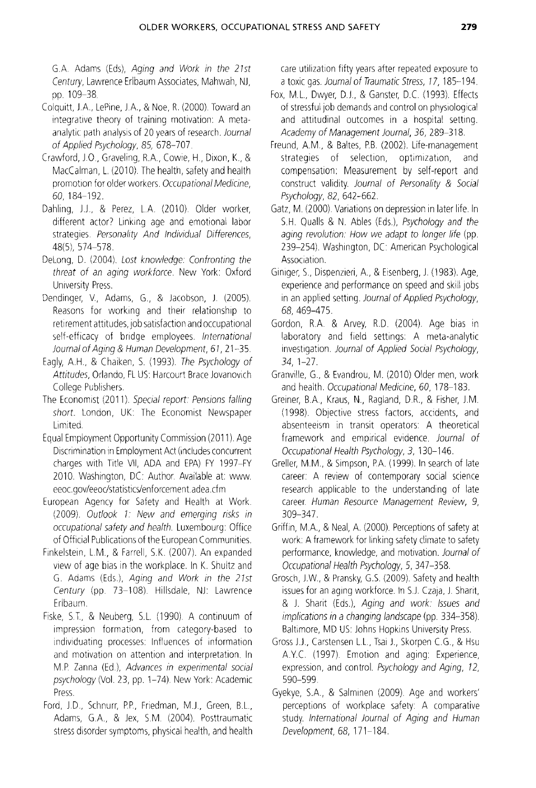G.A. Adams (Eds), Aging and Work in the 21st Century, Lawrence Erlbaum Associates, Mahwah, NJ, pp. 109-38.

- Colquitt, J.A., LePine, J.A., & Noe, R. (2000). Toward an integrative theory of training motivation: A metaanalytic path analysis of 20 years of research. Journal of Applied Psychology, 85, 678-707.
- Crawford, JO, Graveling, RA, Cowie, H, Dixon, K, & MacCalman, L. (2010). The health, safety and health promotion for older workers. Occupational Medicine, 60,184-192.
- Dahling, J.J., & Perez, L.A. (2010). Older worker, different actor? Linking age and emotional labor strategies. Personality And Individual Differences, 48(5), 574-578.
- DeLong, D. (2004). Lost knowledge: Confronting the threat of an aging workforce. New York: Oxford University Press.
- Dendinger, V, Adams, G, & Jacobson, J. (2005) Reasons for working and their relationship to retirement attitudes, job satisfaction and occupational self-efficacy of bridge employees. International Journal of Aging & Human Development, 67,21-35.
- Eagly, A.H., & Chaiken, S. (1993). The Psychology of Attitudes, Orlando, Fl US: Harcourt Brace Jovanovich College Publishers.
- The Economist (2011). Special report: Pensions falling short. London, UK: The Economist Newspaper limited.
- Equal Employment Opportunity Commission (2011) Age Discrimination in Employment Act (includes concurrent charges with Title VII, ADA and EPA) FY 1997-FY 2010. Washington, DC: Author. Available at: www. eeoc.gov/eeoc/statistics/enforcement.adea.cfm
- European Agency for Safety and Health at Work. (2009). Outlook 1: New and emerging risks in occupational safety and health. Luxembourg: Office of Official Publications of the European Communities.
- Finkelstein, L.M., & Farrell, S.K. (2007). An expanded view of age bias in the workplace In K. Shultz and G. Adams (Eds.), Aging and Work in the 21st Century (pp. 73-108). Hillsdale, NJ: Lawrence Erlbaum.
- Fiske, S.T., & Neuberg, S.L. (1990). A continuum of impression formation, from category-based to individuating processes: Influences of information and motivation on attention and interpretation. In MP Zanna (Ed), Advances in experimental social psychology (Vol. 23, pp. 1-74). New York: Academic Press.
- Ford, J.D., Schnurr, P.P., Friedman, M.J., Green, B.L., Adams, GA, & Jex, S.M. (2004). Posttraumatic stress disorder symptoms, physical health, and health

care utilization fifty years after repeated exposure to a toxic gas. Journal of Traumatic Stress, 77, 185-194.

- Fox, M.L., Dwyer, D.J., & Ganster, D.C. (1993). Effects of stressful job demands and control on physiological and attitudinal outcomes in a hospital setting. Academy of Management Journal, 36, 289-318.
- Freund, A.M., & Baltes, P.B. (2002). Life-management strategies of selection, optimization, and compensation: Measurement by self-report and construct validity. Journal of Personality & Social Psychology, 82, 642-662.
- Gatz, M. (2000) Variations on depression in later life. In S.H. Qualls & N. Ables (Eds.), Psychology and the aging revolution: How we adapt to longer life (pp. 239-254). Washington, DC: American Psychological Association.
- Ginlger, S, Dispenzleri, A., & Eisenberg, J. (1983). Age, experience and performance on speed and skill jobs in an applied setting. Journal of Applied Psychology, 68, 469-475.
- Gordon, R.A. & Arvey, R.D. (2004). Age bias in laboratory and field settings: A meta-analytic investigation. Journal of Applied Social Psychology, 34, 1-27.
- Granville, G, & Evandrou, M. (2010) Older men, work and health. Occupational Medicine, 60, 178-183.
- Greiner, BA, Kraus, N., Ragland, D.R., & Fisher, J.M. (1998). Objective stress factors, accidents, and absenteeism in transit operators: A theoretical framework and empirical evidence. Journal of Occupational Health Psychology, 3, 130-146.
- Greller, M.M., & Simpson, P.A. (1999). In search of late career: A review of contemporary social science research applicable to the understanding of late career. Human Resource Management Review, 9, 309-347.
- Griffin, M.A., & Neal, A. (2000). Perceptions of safety at work: A framework for linking safety climate to safety performance, knowledge, and motivation. Journal of Occupational Health Psychology, 5, 347-358.
- Grosch, JW, & Pransky, G.S. (2009). Safety and health issues for an aging workforce. In S.J. Czaja, J. Sharit, & J. Sharit (Eds), Aging and work. Issues and implications in a changing landscape (pp. 334-358) Baltimore, MD US: Johns Hopkins University Press.
- Gross J.J., Carstensen L.L., Tsai J., Skorpen C.G., & Hsu A.Y.C. (1997). Emotion and aging: Experience, expression, and control. Psychology and Aging, 72, 590-599.
- Gyekye, S.A., & Salminen (2009). Age and workers' perceptions of workplace safety: A comparative study. International Journal of Aging and Human Development, 68, 171-184.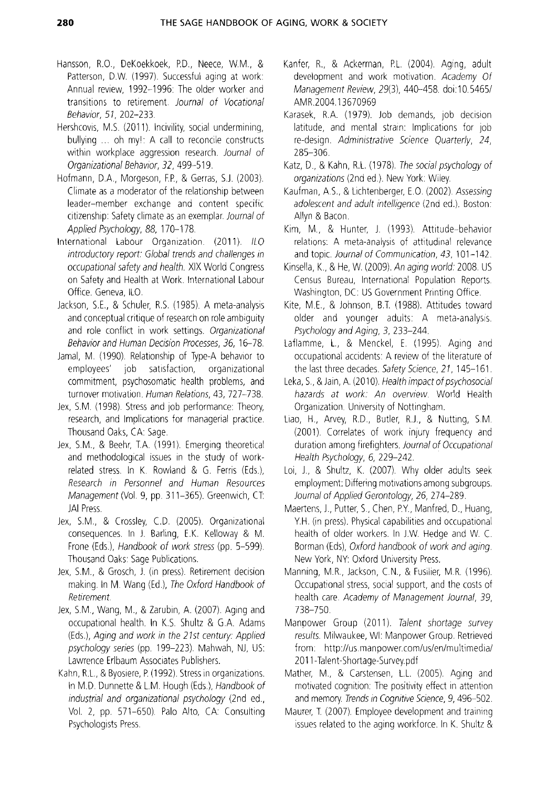- Hansson, RO., DeKoekkoek, PD, Neece, WM, & Patterson, D.W. (1997). Successful aging at work: Annual review, 1992-1996: The older worker and transitions to retirement. Journal of Vocational Behavior, 51, 202-233.
- Hershcovis, M.S. (2011). Incivility, social undermining, bullying ... oh my!: A call to reconcile constructs within workplace aggression research. Journal of Organizational Behavior, 32, 499-519.
- Hofmann, D.A., Morgeson, F.P., & Gerras, S.J. (2003). Climate as a moderator of the relationship between leader-member exchange and content specific citizenship: Safety climate as an exemplar. Journal of Applied Psychology, 88, 170-178.
- International Labour Organization. (2011). ILO introductory report: Global trends and challenges in occupational safety and health. XIX World Congress on Safety and Health at Work. International Labour Office. Geneva, ILO.
- Jackson, S.E., & Schuler, R.S. (1985). A meta-analysis and conceptual critique of research on role ambiguity and role conflict in work settings. Organizational Behavior and Human Decision Processes, 36, 16-78.
- Jamal, M. (1990). Relationship of Type-A behavior to employees' job satisfaction, organizational commitment, psychosomatic health problems, and turnover motivation. Human Relations, 43, 727-738.
- Jex, S.M. (1998). Stress and job performance: Theory, research, and Implications for managerial practice. Thousand Oaks, CA: Sage.
- Jex, S.M., & Beehr, T.A. (1991). Emerging theoretical and methodological issues in the study of workrelated stress. In K. Rowland & G. Ferris (Eds), Research in Personnel and Human Resources Management (Vol. 9, pp. 311-365). Greenwich, CT: JAI Press.
- Jex, S.M., & Crossley, C.D. (2005). Organizational consequences. In J. Barling, E.K. Kelloway & M. Frone (Eds.), Handbook of work stress (pp. 5–599). Thousand Oaks: Sage Publications.
- Jex, S.M., & Grosch, J. (In press). Retirement decision making. In M. Wang (Ed), The Oxford Handbook of Retirement.
- Jex, S.M., Wang, M., & Zarubin, A. (2007). Aging and occupational health. In K.S. Shultz & G.A. Adams (Eds.), Aging and work in the 21st century. Applied psychology series (pp. 199-223). Mahwah, NJ, US: Lawrence Erlbaum ASSOCiates Publishers.
- Kahn, R.L, & Byoslere, P. (1992) Stress in organizations. In M.D. Dunnette & L.M. Hough (Eds), Handbook of industrial and organizational psychology (2nd ed., Vol. 2, pp. 571-650). Palo Alto, CA: Consulting Psychologists Press.
- Kanfer, R., & Ackerman, P.L. (2004). Aging, adult development and work motivation. Academy Of Management Review, 29(3), 440-458. doi:10.5465/ AMR.2004.13670969
- Karasek, R.A. (1979). Job demands, job decision latitude, and mental strain: Implications for job re-design. Administrative Science Quarterly, 24, 285-306.
- Katz, D., & Kahn, R.L. (1978). The social psychology of organizations (2nd ed.). New York: Wiley.
- Kaufman, AS., & Lichtenberger, E.O. (2002) Assessing adolescent and adult intelligence (2nd ed.). Boston: Allyn & Bacon.
- Kim, M, & Hunter, J. (1993) Attitude-behavior relations: A meta-analysis of attitudinal relevance and topic. Journal of Communication, 43, 101-142.
- Kinsella, K., & He, W. (2009). An aging world: 2008. US Census Bureau, International Population Reports Washington, DC: US Government Printing Office.
- Kite, M.E., & Johnson, B.T. (1988). Attitudes toward older and younger adults: A meta-analysis. Psychology and Aging, 3, 233-244.
- Laflamme, L., & Menckel, E. (1995). Aging and occupational accidents: A review of the literature of the last three decades. Safety Science, 21, 145-161.
- Leka, S., & Jain, A. (2010). Health impact of psychosocial hazards at work: An overview. World Health Organization University of Nottingham.
- Liao, H., Arvey, R.D., Butler, R.J., & Nutting, S.M. (2001). Correlates of work injury frequency and duration among firefighters. Journal of Occupational Health Psychology, 6, 229-242.
- Loi, J., & Shultz, K. (2007). Why older adults seek employment: Differing motivations among subgroups. Joumal of Applied Gerontology. 26, 274-289.
- Maertens, l, Putter, S, Chen, PY, Manfred, D, Huang, YH. (in press). Physical capabilities and occupational health of older workers. In J.W. Hedge and W. C. Borman (Eds), Oxford handbook of work and aging. New York, NY: Oxford University Press.
- Manning, M.R., Jackson, C.N., & Fusilier, M.R. (1996). Occupational stress, SOCIal support, and the costs of health care. Academy of Management Journal, 39, 738-750.
- Manpower Group (2011). Talent shortage survey results. Milwaukee, WI: Manpower Group. Retrieved from: http://us.manpower.com/us/en/multimedia/ 2011-Talent-Shortage-Survey.pdf
- Mather, M., & Carstensen, LL. (2005). Aging and motivated cognition. The positivity effect in attention and memory. Trends in Cognitive Science, 9, 496-502.
- Maurer, T. (2007). Employee development and training issues related to the aging workforce. In K. Shultz &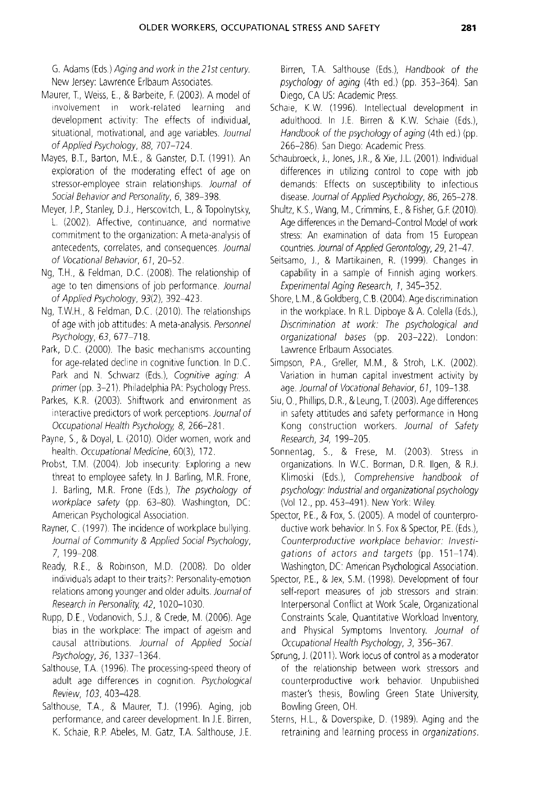G. Adams (Eds) Aging and work in the 21st century New Jersey: Lawrence Erlbaum Associates.

- Maurer, T., Weiss, E., & Barbeite, F. (2003). A model of involvement in work-related learning and development activity: The effects of individual, situational, motivational, and age variables. Journal of Applied Psychology, 88, 707-724.
- Mayes, B.T., Barton, M.E., & Ganster, D.T. (1991). An exploration of the moderating effect of age on stressor-employee strain relationships. Journal of Social Behavior and Personality, 6, 389-398.
- Meyer, J.P., Stanley, D.J., Herscovitch, L., & Topolnytsky, L. (2002). Affective, continuance, and normative commitment to the organization: A meta-analysis of antecedents, correlates, and consequences. Journal of Vocational Behavior, 61, 20-52.
- Ng, T.H., & Feldman, D.C. (2008). The relationship of age to ten dimensions of job performance. Journal of Applied Psychology, 93(2), 392-423.
- Ng, T.W.H., & Feldman, D.C. (2010). The relationships of age with job attitudes: A meta-analysis. Personnel Psychology, 63, 677-718.
- Park, D.C. (2000). The basic mechanisms accounting for age-related decline in cognitive function. In D.C. Park and N. Schwarz (Eds.), Cognitive aging: A primer (pp. 3-21). Philadelphia PA: Psychology Press.
- Parkes, K.R. (2003) Shiftwork and environment as interactive predictors of work perceptions Journal of Occupational Health Psychology, 8, 266-281.
- Payne, S., & Doyal, L. (2010). Older women, work and health. Occupational Medicine, 60(3), 172.
- Probst, T.M. (2004). Job insecurity: Exploring a new threat to employee safety. In J. Barling, M.R. Frone, J. Barling, M.R. Frone (Eds), The psychology of workplace safety (pp. 63-80). Washington, DC American Psychological Association.
- Rayner, C. (1997). The incidence of workplace bullying. Journal of Community & Applied Social Psychology, 7, 199-208.
- Ready, R.E., & Robinson, M.D. (2008). Do older individuals adapt to their traits?: Personality-emotion relations among younger and older adults. Journal of Research in Personality, 42, 1020-1030.
- Rupp, D.E., Vodanovich, S.J., & Crede, M. (2006). Age bias in the workplace: The impact of ageism and causal attributions. Journal of Applied Social Psychology, 36, 1337-1364.
- Salthouse, T.A. (1996). The processing-speed theory of adult age differences in cognition. Psychological Review, 103, 403-428.
- Salthouse, T.A., & Maurer, T.J. (1996). Aging, job performance, and career development. In J.E. Birren, K. Schaie, R.P. Abeles, M. Gatz, T.A. Salthouse, J.E.

Birren, T.A. Salthouse (Eds.), Handbook of the psychology of aging (4th ed.) (pp. 353-364). San Diego, CA US: Academic Press.

- Schaie, K.W. (1996). Intellectual development in adulthood. In J.E. Birren & K.W. Schaie (Eds.), Handbook of the psychology of aging (4th ed.) (pp. 266-286). San Diego: Academic Press.
- Schaubroeck, J., Jones, J.R., & Xie, J.L. (2001). Individual differences in utilizing control to cope with job demands: Effects on susceptibility to infectious disease. Journal of Applied Psychology. 86, 265-278.
- Shultz, K.S., Wang, M., Crimmins, E., & Fisher, G.F. (2010). Age differences in the Demand-Control Model of work stress: An examination of data from 15 European countries. Journal of Applied Gerontology. 29, 21-47.
- Seitsamo, J., & Martikainen, R. (1999). Changes in capability in a sample of Finnish aging workers. Experimental Aging Research, 1, 345-352.
- Shore, L.M., & Goldberg, C.B. (2004). Age discrimination in the workplace. In R.L. Dipboye & A. Colella (Eds.), Discrimination at work: The psychological and organizational bases (pp. 203-222). London: Lawrence Erlbaum ASSOCIates.
- Simpson, P.A., Greller, M.M., & Stroh, L.K. (2002). Variation in human capital investment activity by age. Journal of Vocational Behavior, 61, 109-138.
- Siu, O., Phillips, D.R., & Leung, T. (2003). Age differences in safety attitudes and safety performance in Hong Kong construction workers. Journal of Safety Research,34, *199-205.*
- Sonnentag, S., & Frese, M. (2003). Stress in organizations. In W.C. Borman, D.R. Ilgen, & R.J. Klimoski (Eds), Comprehensive handbook of psychology Industrial and organizational psychology (Vol 12., pp. 453-491). New York: Wiley.
- Spector, FE, & Fox, S. (2005). A model of counterproductive work behavior. In S. Fox & Spector, FE. (Eds), Counterproductive workplace behavior: Investigations of actors and targets (pp. 151-174) Washington, DC: American Psychological Association.
- Spector, P.E., & Jex, S.M. (1998). Development of four self-report measures of job stressors and strain: Interpersonal Conflict at Work Scale, Organizational Constraints Scale, Quantitative Workload Inventory, and Physical Symptoms Inventory. Journal of Occupational Health Psychology, 3, 356-367.
- Sprung, J. (2011). Work locus of control as a moderator of the relationship between work stressors and counterproductive work behavior. Unpublished master's thesis, Bowling Green State University, Bowling Green, OH.
- Sterns, H.L, & Doverspike, D. (1989) Aging and the retraining and learning process in organizations.